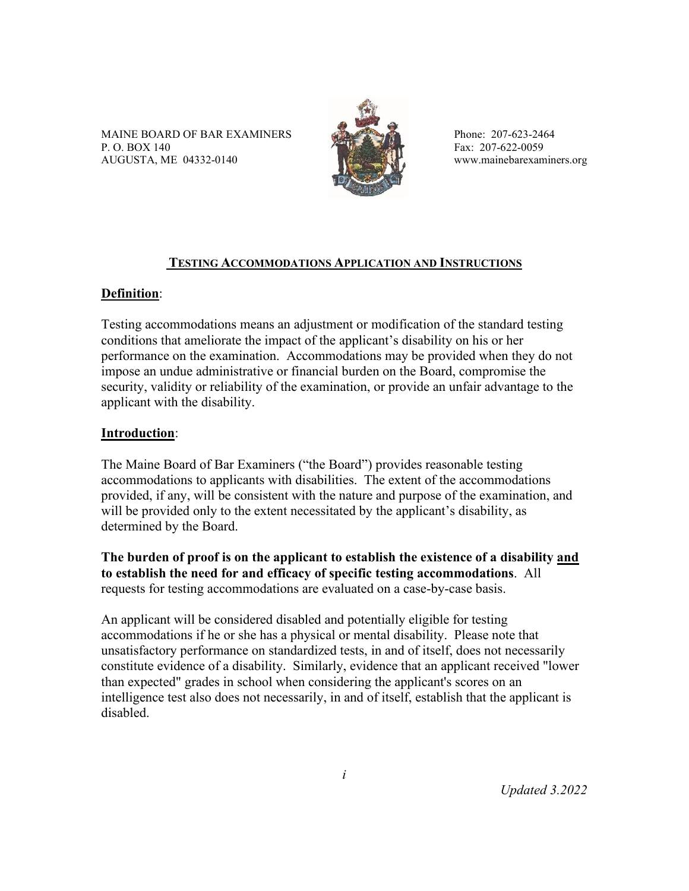MAINE BOARD OF BAR EXAMINERS Phone: 207-623-2464 P. O. BOX 140 Fax: 207-622-0059 AUGUSTA, ME 04332-0140 www.mainebarexaminers.org



## **TESTING ACCOMMODATIONS APPLICATION AND INSTRUCTIONS**

## **Definition**:

Testing accommodations means an adjustment or modification of the standard testing conditions that ameliorate the impact of the applicant's disability on his or her performance on the examination. Accommodations may be provided when they do not impose an undue administrative or financial burden on the Board, compromise the security, validity or reliability of the examination, or provide an unfair advantage to the applicant with the disability.

## **Introduction**:

The Maine Board of Bar Examiners ("the Board") provides reasonable testing accommodations to applicants with disabilities. The extent of the accommodations provided, if any, will be consistent with the nature and purpose of the examination, and will be provided only to the extent necessitated by the applicant's disability, as determined by the Board.

**The burden of proof is on the applicant to establish the existence of a disability and to establish the need for and efficacy of specific testing accommodations**. All requests for testing accommodations are evaluated on a case-by-case basis.

An applicant will be considered disabled and potentially eligible for testing accommodations if he or she has a physical or mental disability. Please note that unsatisfactory performance on standardized tests, in and of itself, does not necessarily constitute evidence of a disability. Similarly, evidence that an applicant received "lower than expected" grades in school when considering the applicant's scores on an intelligence test also does not necessarily, in and of itself, establish that the applicant is disabled.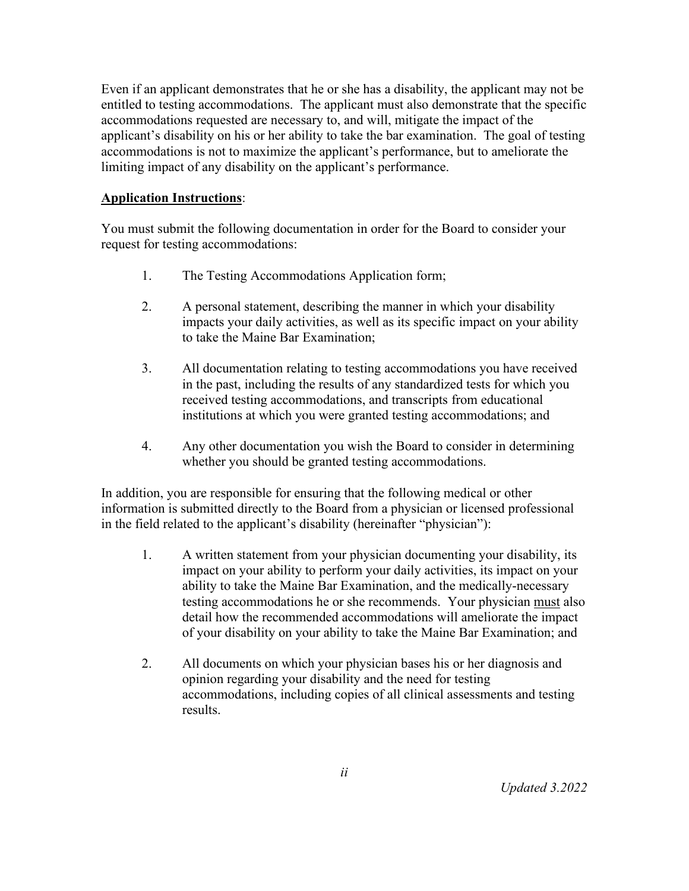Even if an applicant demonstrates that he or she has a disability, the applicant may not be entitled to testing accommodations. The applicant must also demonstrate that the specific accommodations requested are necessary to, and will, mitigate the impact of the applicant's disability on his or her ability to take the bar examination. The goal of testing accommodations is not to maximize the applicant's performance, but to ameliorate the limiting impact of any disability on the applicant's performance.

#### **Application Instructions**:

You must submit the following documentation in order for the Board to consider your request for testing accommodations:

- 1. The Testing Accommodations Application form;
- 2. A personal statement, describing the manner in which your disability impacts your daily activities, as well as its specific impact on your ability to take the Maine Bar Examination;
- 3. All documentation relating to testing accommodations you have received in the past, including the results of any standardized tests for which you received testing accommodations, and transcripts from educational institutions at which you were granted testing accommodations; and
- 4. Any other documentation you wish the Board to consider in determining whether you should be granted testing accommodations.

In addition, you are responsible for ensuring that the following medical or other information is submitted directly to the Board from a physician or licensed professional in the field related to the applicant's disability (hereinafter "physician"):

- 1. A written statement from your physician documenting your disability, its impact on your ability to perform your daily activities, its impact on your ability to take the Maine Bar Examination, and the medically-necessary testing accommodations he or she recommends. Your physician must also detail how the recommended accommodations will ameliorate the impact of your disability on your ability to take the Maine Bar Examination; and
- 2. All documents on which your physician bases his or her diagnosis and opinion regarding your disability and the need for testing accommodations, including copies of all clinical assessments and testing results.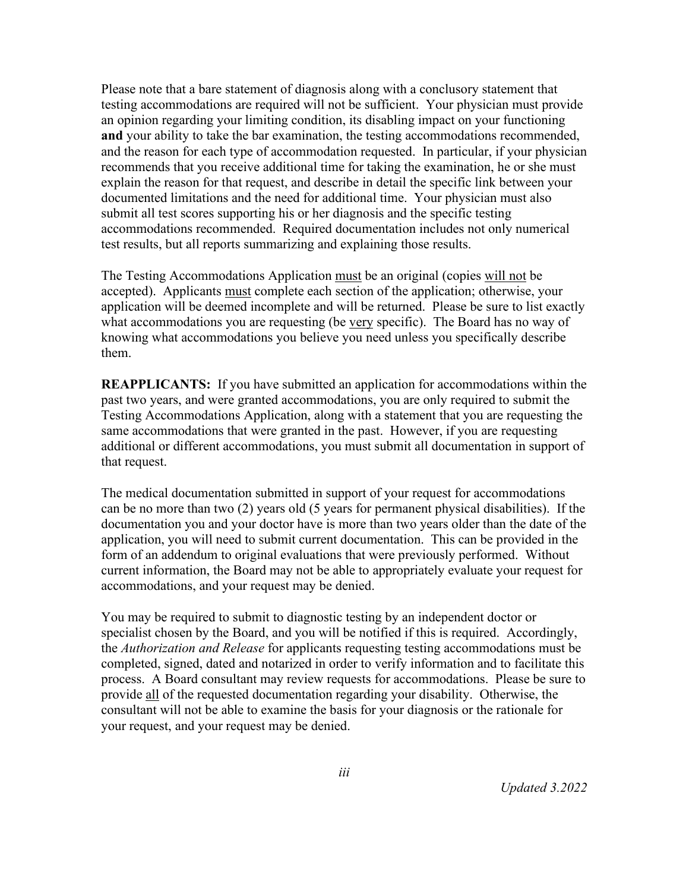Please note that a bare statement of diagnosis along with a conclusory statement that testing accommodations are required will not be sufficient. Your physician must provide an opinion regarding your limiting condition, its disabling impact on your functioning **and** your ability to take the bar examination, the testing accommodations recommended, and the reason for each type of accommodation requested. In particular, if your physician recommends that you receive additional time for taking the examination, he or she must explain the reason for that request, and describe in detail the specific link between your documented limitations and the need for additional time. Your physician must also submit all test scores supporting his or her diagnosis and the specific testing accommodations recommended. Required documentation includes not only numerical test results, but all reports summarizing and explaining those results.

The Testing Accommodations Application must be an original (copies will not be accepted). Applicants must complete each section of the application; otherwise, your application will be deemed incomplete and will be returned. Please be sure to list exactly what accommodations you are requesting (be very specific). The Board has no way of knowing what accommodations you believe you need unless you specifically describe them.

**REAPPLICANTS:** If you have submitted an application for accommodations within the past two years, and were granted accommodations, you are only required to submit the Testing Accommodations Application, along with a statement that you are requesting the same accommodations that were granted in the past. However, if you are requesting additional or different accommodations, you must submit all documentation in support of that request.

The medical documentation submitted in support of your request for accommodations can be no more than two (2) years old (5 years for permanent physical disabilities). If the documentation you and your doctor have is more than two years older than the date of the application, you will need to submit current documentation. This can be provided in the form of an addendum to original evaluations that were previously performed. Without current information, the Board may not be able to appropriately evaluate your request for accommodations, and your request may be denied.

You may be required to submit to diagnostic testing by an independent doctor or specialist chosen by the Board, and you will be notified if this is required. Accordingly, the *Authorization and Release* for applicants requesting testing accommodations must be completed, signed, dated and notarized in order to verify information and to facilitate this process. A Board consultant may review requests for accommodations. Please be sure to provide all of the requested documentation regarding your disability. Otherwise, the consultant will not be able to examine the basis for your diagnosis or the rationale for your request, and your request may be denied.

*Updated 3.2022*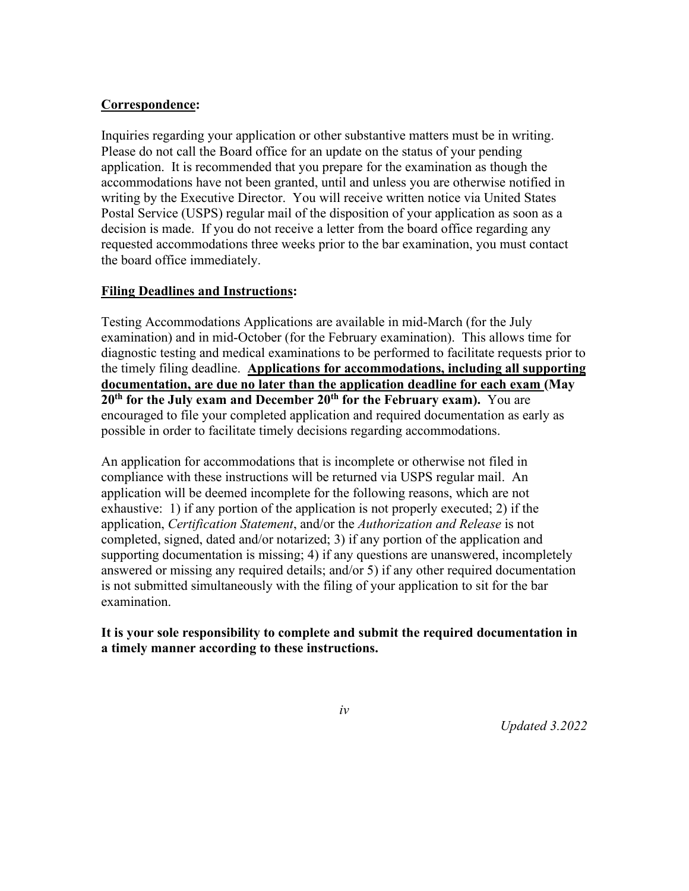#### **Correspondence:**

Inquiries regarding your application or other substantive matters must be in writing. Please do not call the Board office for an update on the status of your pending application. It is recommended that you prepare for the examination as though the accommodations have not been granted, until and unless you are otherwise notified in writing by the Executive Director. You will receive written notice via United States Postal Service (USPS) regular mail of the disposition of your application as soon as a decision is made. If you do not receive a letter from the board office regarding any requested accommodations three weeks prior to the bar examination, you must contact the board office immediately.

#### **Filing Deadlines and Instructions:**

Testing Accommodations Applications are available in mid-March (for the July examination) and in mid-October (for the February examination). This allows time for diagnostic testing and medical examinations to be performed to facilitate requests prior to the timely filing deadline. **Applications for accommodations, including all supporting documentation, are due no later than the application deadline for each exam (May 20<sup>th</sup> for the July exam and December 20<sup>th</sup> for the February exam).** You are encouraged to file your completed application and required documentation as early as possible in order to facilitate timely decisions regarding accommodations.

An application for accommodations that is incomplete or otherwise not filed in compliance with these instructions will be returned via USPS regular mail. An application will be deemed incomplete for the following reasons, which are not exhaustive: 1) if any portion of the application is not properly executed; 2) if the application, *Certification Statement*, and/or the *Authorization and Release* is not completed, signed, dated and/or notarized; 3) if any portion of the application and supporting documentation is missing; 4) if any questions are unanswered, incompletely answered or missing any required details; and/or 5) if any other required documentation is not submitted simultaneously with the filing of your application to sit for the bar examination.

#### **It is your sole responsibility to complete and submit the required documentation in a timely manner according to these instructions.**

*iv*

*Updated 3.2022*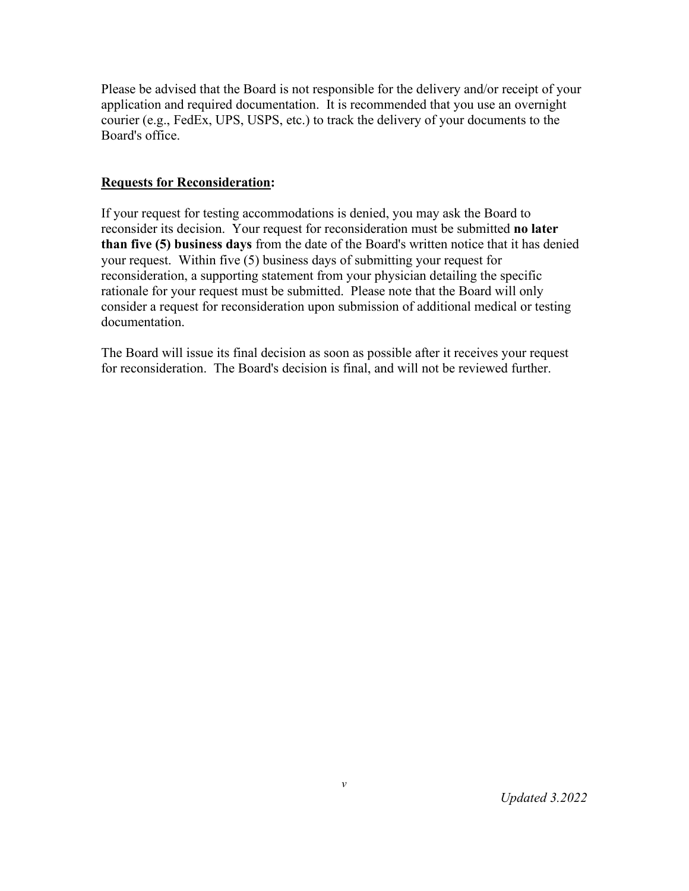Please be advised that the Board is not responsible for the delivery and/or receipt of your application and required documentation. It is recommended that you use an overnight courier (e.g., FedEx, UPS, USPS, etc.) to track the delivery of your documents to the Board's office.

### **Requests for Reconsideration:**

If your request for testing accommodations is denied, you may ask the Board to reconsider its decision. Your request for reconsideration must be submitted **no later than five (5) business days** from the date of the Board's written notice that it has denied your request. Within five (5) business days of submitting your request for reconsideration, a supporting statement from your physician detailing the specific rationale for your request must be submitted. Please note that the Board will only consider a request for reconsideration upon submission of additional medical or testing documentation.

The Board will issue its final decision as soon as possible after it receives your request for reconsideration. The Board's decision is final, and will not be reviewed further.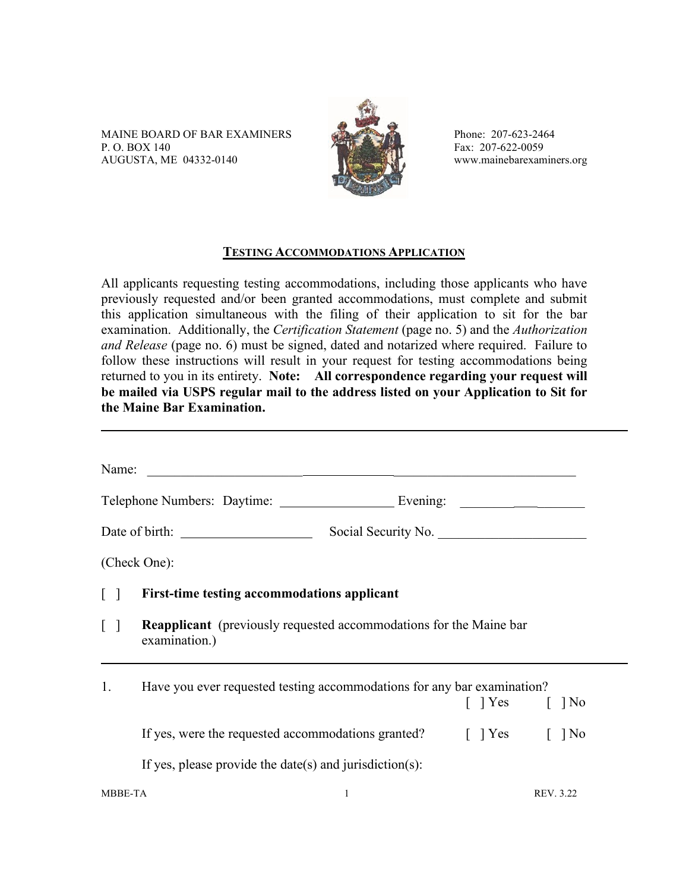MAINE BOARD OF BAR EXAMINERS Phone: 207-623-2464 P. O. BOX 140<br>AUGUSTA, ME 04332-0140  $\begin{matrix} 1 & 1 \ 1 & 1 \end{matrix}$  Fax: 207-622-0059<br>www.mainebarexaminers.org AUGUSTA, ME 04332-0140



#### **TESTING ACCOMMODATIONS APPLICATION**

All applicants requesting testing accommodations, including those applicants who have previously requested and/or been granted accommodations, must complete and submit this application simultaneous with the filing of their application to sit for the bar examination. Additionally, the *Certification Statement* (page no. 5) and the *Authorization and Release* (page no. 6) must be signed, dated and notarized where required. Failure to follow these instructions will result in your request for testing accommodations being returned to you in its entirety. **Note: All correspondence regarding your request will be mailed via USPS regular mail to the address listed on your Application to Sit for the Maine Bar Examination.**

| Name:                             |                                                                                            |  |                              |  |
|-----------------------------------|--------------------------------------------------------------------------------------------|--|------------------------------|--|
|                                   |                                                                                            |  |                              |  |
|                                   | Social Security No.                                                                        |  |                              |  |
|                                   | (Check One):                                                                               |  |                              |  |
| $\lceil$ $\rceil$                 | First-time testing accommodations applicant                                                |  |                              |  |
| $\begin{bmatrix} 1 \end{bmatrix}$ | <b>Reapplicant</b> (previously requested accommodations for the Maine bar<br>examination.) |  |                              |  |
| 1.                                | Have you ever requested testing accommodations for any bar examination?                    |  | $\lceil$   Yes $\lceil$   No |  |
|                                   | If yes, were the requested accommodations granted? [ ] Yes [ ] No                          |  |                              |  |
|                                   | If yes, please provide the date(s) and jurisdiction(s):                                    |  |                              |  |
| <b>MBBE-TA</b>                    |                                                                                            |  | REV. 3.22                    |  |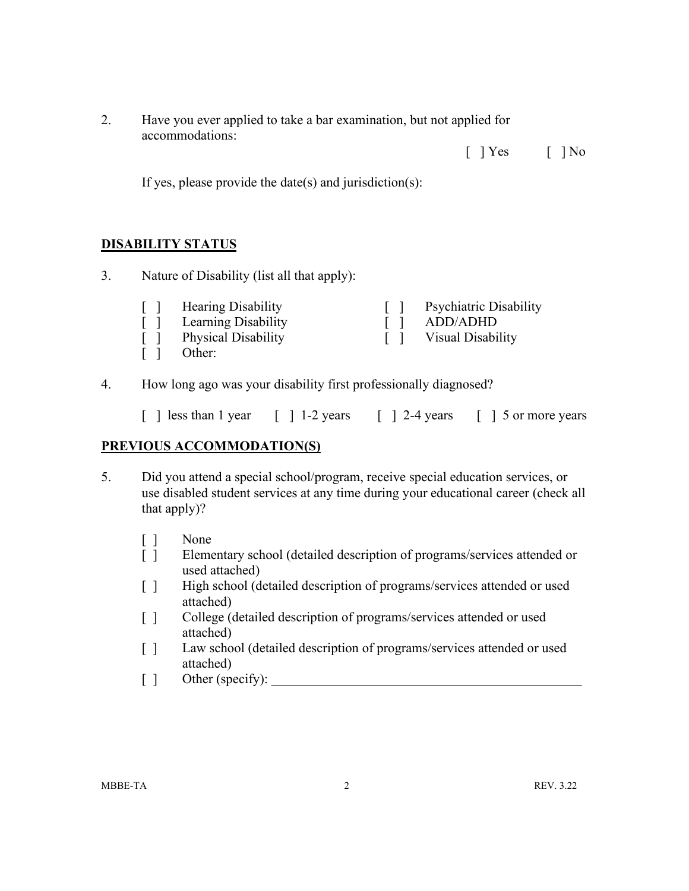2. Have you ever applied to take a bar examination, but not applied for accommodations:

 $[$   $]$  Yes  $[$   $]$  No

If yes, please provide the date(s) and jurisdiction(s):

## **DISABILITY STATUS**

3. Nature of Disability (list all that apply):

| $\Box$            | <b>Hearing Disability</b>  | <b>Psychiatric Disability</b> |
|-------------------|----------------------------|-------------------------------|
| $\Box$            | Learning Disability        | ADD/ADHD                      |
| $\Box$            | <b>Physical Disability</b> | Visual Disability             |
| $\lceil$ $\rceil$ | Other:                     |                               |

4. How long ago was your disability first professionally diagnosed?

|  | [ ] less than 1 year | $\lceil$ 1 -2 vears |  | $\lceil$ 1 2-4 vears |  | 1 5 or more vears |  |
|--|----------------------|---------------------|--|----------------------|--|-------------------|--|
|  |                      |                     |  |                      |  |                   |  |

# **PREVIOUS ACCOMMODATION(S)**

- 5. Did you attend a special school/program, receive special education services, or use disabled student services at any time during your educational career (check all that apply)?
	- [ ] None
	- [ ] Elementary school (detailed description of programs/services attended or used attached)
	- [ ] High school (detailed description of programs/services attended or used attached)
	- [ ] College (detailed description of programs/services attended or used attached)
	- [] Law school (detailed description of programs/services attended or used attached)
	- [ ] Other (specify):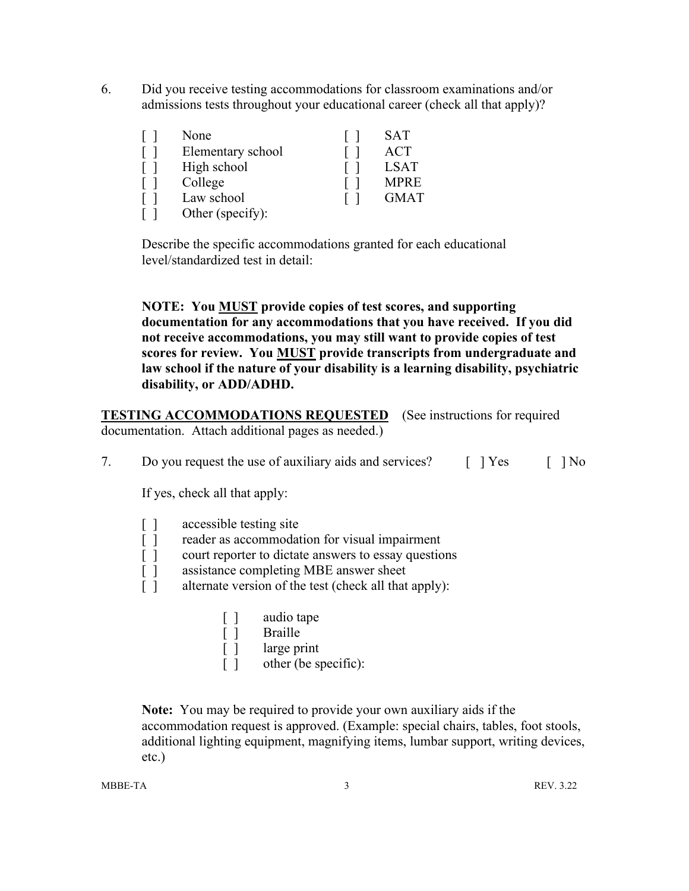6. Did you receive testing accommodations for classroom examinations and/or admissions tests throughout your educational career (check all that apply)?

| None              | SAT         |
|-------------------|-------------|
| Elementary school | <b>ACT</b>  |
| High school       | <b>LSAT</b> |
| College           | <b>MPRE</b> |
| Law school        | <b>GMAT</b> |
| Other (specify):  |             |

Describe the specific accommodations granted for each educational level/standardized test in detail:

**NOTE: You MUST provide copies of test scores, and supporting documentation for any accommodations that you have received. If you did not receive accommodations, you may still want to provide copies of test scores for review. You MUST provide transcripts from undergraduate and law school if the nature of your disability is a learning disability, psychiatric disability, or ADD/ADHD.**

**TESTING ACCOMMODATIONS REQUESTED** (See instructions for required documentation. Attach additional pages as needed.)

7. Do you request the use of auxiliary aids and services?  $[$   $]$   $Yes$   $[$   $]$   $No$ 

If yes, check all that apply:

| $\Box$  | accessible testing site                                                                                                                                                                                                                                                                                                          |
|---------|----------------------------------------------------------------------------------------------------------------------------------------------------------------------------------------------------------------------------------------------------------------------------------------------------------------------------------|
| $\perp$ | reader as accommodation for visual impairment                                                                                                                                                                                                                                                                                    |
| $\perp$ | court reporter to dictate answers to essay questions                                                                                                                                                                                                                                                                             |
| $\perp$ | assistance completing MBE answer sheet                                                                                                                                                                                                                                                                                           |
|         | 1. $\mathcal{C}$ . $\mathcal{C}$ . $\mathcal{C}$ . $\mathcal{C}$ . $\mathcal{C}$ . $\mathcal{C}$ . $\mathcal{C}$ . $\mathcal{C}$ . $\mathcal{C}$ . $\mathcal{C}$ . $\mathcal{C}$ . $\mathcal{C}$ . $\mathcal{C}$ . $\mathcal{C}$ . $\mathcal{C}$ . $\mathcal{C}$ . $\mathcal{C}$ . $\mathcal{C}$ . $\mathcal{C}$ . $\mathcal{C}$ |

- [ ] alternate version of the test (check all that apply):
	- [ ] audio tape
	- [ ] Braille
	- [ ] large print
	- [ ] other (be specific):

**Note:** You may be required to provide your own auxiliary aids if the accommodation request is approved. (Example: special chairs, tables, foot stools, additional lighting equipment, magnifying items, lumbar support, writing devices, etc.)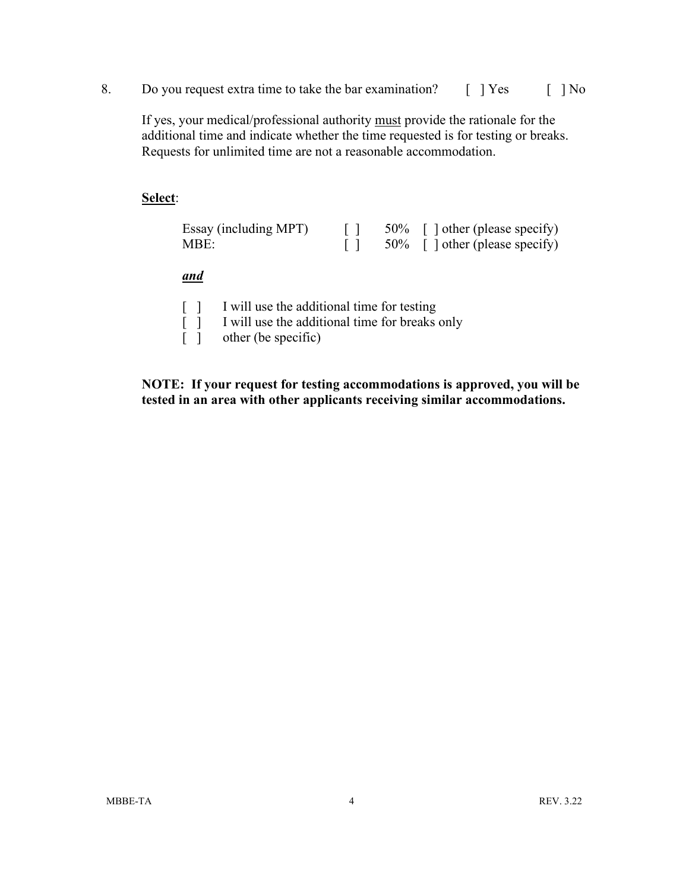8. Do you request extra time to take the bar examination? [ ] Yes [ ] No

If yes, your medical/professional authority must provide the rationale for the additional time and indicate whether the time requested is for testing or breaks. Requests for unlimited time are not a reasonable accommodation.

#### **Select**:

| Essay (including MPT) |  | $50\%$ [] other (please specify) |
|-----------------------|--|----------------------------------|
| MBE:                  |  | $50\%$ [] other (please specify) |

*and*

|  |  |  |  | I will use the additional time for testing |  |  |  |
|--|--|--|--|--------------------------------------------|--|--|--|
|--|--|--|--|--------------------------------------------|--|--|--|

[ ] I will use the additional time for breaks only

[ ] other (be specific)

**NOTE: If your request for testing accommodations is approved, you will be tested in an area with other applicants receiving similar accommodations.**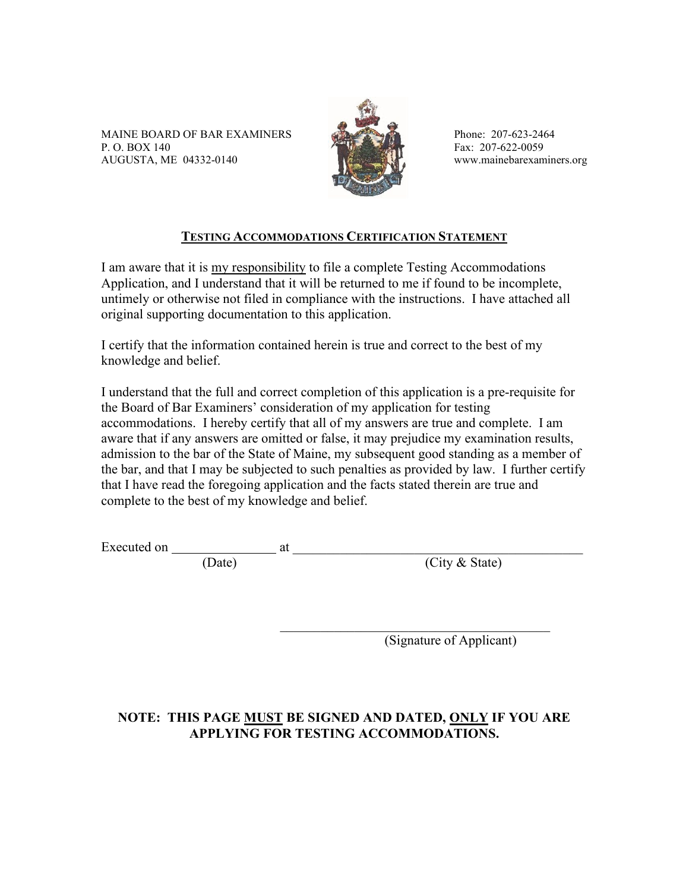MAINE BOARD OF BAR EXAMINERS Phone: 207-623-2464 P. O. BOX 140<br>AUGUSTA, ME 04332-0140  $\begin{matrix} 1 & 1 \ 1 & 1 \end{matrix}$  Fax: 207-622-0059<br>www.mainebarexaminers.org AUGUSTA, ME 04332-0140



## **TESTING ACCOMMODATIONS CERTIFICATION STATEMENT**

I am aware that it is my responsibility to file a complete Testing Accommodations Application, and I understand that it will be returned to me if found to be incomplete, untimely or otherwise not filed in compliance with the instructions. I have attached all original supporting documentation to this application.

I certify that the information contained herein is true and correct to the best of my knowledge and belief.

I understand that the full and correct completion of this application is a pre-requisite for the Board of Bar Examiners' consideration of my application for testing accommodations. I hereby certify that all of my answers are true and complete. I am aware that if any answers are omitted or false, it may prejudice my examination results, admission to the bar of the State of Maine, my subsequent good standing as a member of the bar, and that I may be subjected to such penalties as provided by law. I further certify that I have read the foregoing application and the facts stated therein are true and complete to the best of my knowledge and belief.

Executed on  $\frac{1}{\text{Date}}$  at  $\frac{1}{\text{Date}}$ 

(City & State)

(Signature of Applicant)

# **NOTE: THIS PAGE MUST BE SIGNED AND DATED, ONLY IF YOU ARE APPLYING FOR TESTING ACCOMMODATIONS.**